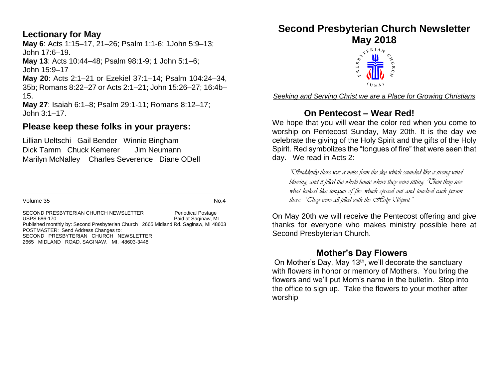#### **Lectionary for May**

**May 6**: Acts 1:15–17, 21–26; Psalm 1:1-6; 1John 5:9–13; John 17:6–19. **May 13**: Acts 10:44–48; Psalm 98:1-9; 1 John 5:1–6; John 15:9–17 **May 20**: Acts 2:1–21 or Ezekiel 37:1–14; Psalm 104:24–34,

35b; Romans 8:22–27 or Acts 2:1–21; John 15:26–27; 16:4b– 15.

**May 27**: Isaiah 6:1–8; Psalm 29:1-11; Romans 8:12–17; John 3:1–17.

#### **Please keep these folks in your prayers:**

Lillian Ueltschi Gail Bender Winnie Bingham Dick Tamm Chuck Kemerer Jim Neumann Marilyn McNalley Charles Severence Diane ODell

Volume 35 No.4

SECOND PRESBYTERIAN CHURCH NEWSLETTER Periodical Postage<br>USPS 686-170 Paid at Saginaw. M Paid at Saginaw, MI Published monthly by: Second Presbyterian Church 2665 Midland Rd. Saginaw, MI 48603 POSTMASTER: Send Address Changes to: SECOND PRESBYTERIAN CHURCH NEWSLETTER 2665 MIDLAND ROAD, SAGINAW, MI. 48603-3448

### **Second Presbyterian Church Newsletter**



*Seeking and Serving Christ we are a Place for Growing Christians*

#### **On Pentecost – Wear Red!**

We hope that you will wear the color red when you come to worship on Pentecost Sunday, May 20th. It is the day we celebrate the giving of the Holy Spirit and the gifts of the Holy Spirit. Red symbolizes the "tongues of fire" that were seen that day. We read in Acts 2:

*"Suddenly there was a noise from the sky which sounded like a strong wind blowing, and it filled the whole house where they were sitting. Then they saw what looked like tongues of fire which spread out and touched each person there. Chey were all filled with the SColy Spirit."* 

On May 20th we will receive the Pentecost offering and give thanks for everyone who makes ministry possible here at Second Presbyterian Church.

#### **Mother's Day Flowers**

On Mother's Day, May 13<sup>th</sup>, we'll decorate the sanctuary with flowers in honor or memory of Mothers. You bring the flowers and we'll put Mom's name in the bulletin. Stop into the office to sign up. Take the flowers to your mother after worship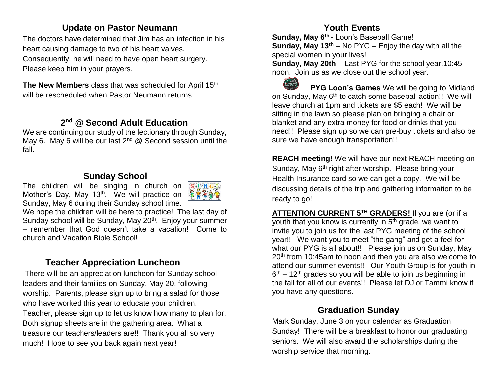#### **Update on Pastor Neumann**

The doctors have determined that Jim has an infection in his heart causing damage to two of his heart valves. Consequently, he will need to have open heart surgery. Please keep him in your prayers.

**The New Members** class that was scheduled for April 15<sup>th</sup> will be rescheduled when Pastor Neumann returns.

#### **2 nd @ Second Adult Education**

We are continuing our study of the lectionary through Sunday, May 6. May 6 will be our last  $2^{nd}$  @ Second session until the fall.

#### **Sunday School**

The children will be singing in church on Mother's Day, May 13<sup>th</sup>. We will practice on Sunday, May 6 during their Sunday school time.



We hope the children will be here to practice! The last day of Sunday school will be Sunday, May 20<sup>th</sup>. Enjoy your summer – remember that God doesn't take a vacation! Come to church and Vacation Bible School!

#### **Teacher Appreciation Luncheon**

There will be an appreciation luncheon for Sunday school leaders and their families on Sunday, May 20, following worship. Parents, please sign up to bring a salad for those who have worked this year to educate your children. Teacher, please sign up to let us know how many to plan for. Both signup sheets are in the gathering area. What a treasure our teachers/leaders are!! Thank you all so very much! Hope to see you back again next year!

#### **Youth Events**

**Sunday, May 6th** - Loon's Baseball Game! **Sunday, May 13th** – No PYG – Enjoy the day with all the special women in your lives!

**Sunday, May 20th** – Last PYG for the school year.10:45 – noon. Join us as we close out the school year.

**Thons PYG Loon's Games** We will be going to Midland on Sunday, May 6<sup>th</sup> to catch some baseball action!! We will leave church at 1pm and tickets are \$5 each! We will be sitting in the lawn so please plan on bringing a chair or blanket and any extra money for food or drinks that you need!! Please sign up so we can pre-buy tickets and also be sure we have enough transportation!!

**REACH meeting!** We will have our next REACH meeting on Sunday, May 6<sup>th</sup> right after worship. Please bring your Health Insurance card so we can get a copy. We will be discussing details of the trip and gathering information to be ready to go!

**ATTENTION CURRENT 5TH GRADERS!** If you are (or if a youth that you know is currently in  $5<sup>th</sup>$  grade, we want to invite you to join us for the last PYG meeting of the school year!! We want you to meet "the gang" and get a feel for what our PYG is all about!! Please join us on Sunday, May 20<sup>th</sup> from 10:45am to noon and then you are also welcome to attend our summer events!! Our Youth Group is for youth in 6<sup>th</sup> – 12<sup>th</sup> grades so you will be able to join us beginning in the fall for all of our events!! Please let DJ or Tammi know if you have any questions.

#### **Graduation Sunday**

Mark Sunday, June 3 on your calendar as Graduation Sunday! There will be a breakfast to honor our graduating seniors. We will also award the scholarships during the worship service that morning.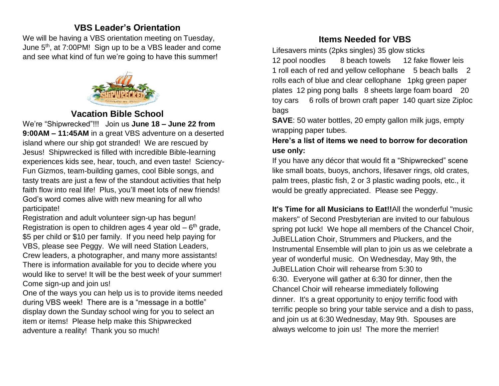#### **VBS Leader's Orientation**

We will be having a VBS orientation meeting on Tuesday, June 5<sup>th</sup>, at 7:00PM! Sign up to be a VBS leader and come and see what kind of fun we're going to have this summer!



#### **Vacation Bible School**

We're "Shipwrecked"!!! Join us **June 18 – June 22 from 9:00AM – 11:45AM** in a great VBS adventure on a deserted island where our ship got stranded! We are rescued by Jesus! Shipwrecked is filled with incredible Bible-learning experiences kids see, hear, touch, and even taste! Sciency-Fun Gizmos, team-building games, cool Bible songs, and tasty treats are just a few of the standout activities that help faith flow into real life! Plus, you'll meet lots of new friends! God's word comes alive with new meaning for all who participate!

Registration and adult volunteer sign-up has begun! Registration is open to children ages 4 year old  $-6<sup>th</sup>$  grade, \$5 per child or \$10 per family. If you need help paying for VBS, please see Peggy. We will need Station Leaders, Crew leaders, a photographer, and many more assistants! There is information available for you to decide where you would like to serve! It will be the best week of your summer! Come sign-up and join us!

One of the ways you can help us is to provide items needed during VBS week! There are is a "message in a bottle" display down the Sunday school wing for you to select an item or items! Please help make this Shipwrecked adventure a reality! Thank you so much!

#### **Items Needed for VBS**

Lifesavers mints (2pks singles) 35 glow sticks 12 pool noodles 8 beach towels 12 fake flower leis 1 roll each of red and yellow cellophane 5 beach balls 2 rolls each of blue and clear cellophane 1pkg green paper plates 12 ping pong balls 8 sheets large foam board 20 toy cars 6 rolls of brown craft paper 140 quart size Ziploc bags

**SAVE**: 50 water bottles, 20 empty gallon milk jugs, empty wrapping paper tubes.

**Here's a list of items we need to borrow for decoration use only:**

If you have any décor that would fit a "Shipwrecked" scene like small boats, buoys, anchors, lifesaver rings, old crates, palm trees, plastic fish, 2 or 3 plastic wading pools, etc., it would be greatly appreciated. Please see Peggy.

**It's Time for all Musicians to Eat!!**All the wonderful "music makers" of Second Presbyterian are invited to our fabulous spring pot luck! We hope all members of the Chancel Choir, JuBELLation Choir, Strummers and Pluckers, and the Instrumental Ensemble will plan to join us as we celebrate a year of wonderful music. On Wednesday, May 9th, the JuBELLation Choir will rehearse from 5:30 to 6:30. Everyone will gather at 6:30 for dinner, then the Chancel Choir will rehearse immediately following dinner. It's a great opportunity to enjoy terrific food with terrific people so bring your table service and a dish to pass, and join us at 6:30 Wednesday, May 9th. Spouses are always welcome to join us! The more the merrier!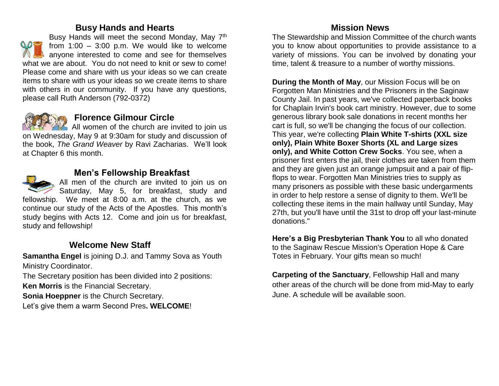#### **Busy Hands and Hearts**

Busy Hands will meet the second Monday, May 7<sup>th</sup> from  $1:00 - 3:00$  p.m. We would like to welcome anyone interested to come and see for themselves what we are about. You do not need to knit or sew to come! Please come and share with us your ideas so we can create items to share with us your ideas so we create items to share with others in our community. If you have any questions, please call Ruth Anderson (792-0372)



#### **Florence Gilmour Circle**

All women of the church are invited to join us on Wednesday, May 9 at 9:30am for study and discussion of the book, *The Grand Weaver* by Ravi Zacharias. We'll look at Chapter 6 this month.



#### **Men's Fellowship Breakfast**

All men of the church are invited to join us on Saturday, May 5, for breakfast, study and fellowship. We meet at 8:00 a.m. at the church, as we continue our study of the Acts of the Apostles. This month's study begins with Acts 12. Come and join us for breakfast, study and fellowship!

#### **Welcome New Staff**

**Samantha Engel** is joining D.J. and Tammy Sova as Youth Ministry Coordinator.

The Secretary position has been divided into 2 positions:

**Ken Morris** is the Financial Secretary.

**Sonia Hoeppner** is the Church Secretary.

Let's give them a warm Second Pres**. WELCOME**!

#### **Mission News**

The Stewardship and Mission Committee of the church wants you to know about opportunities to provide assistance to a variety of missions. You can be involved by donating your time, talent & treasure to a number of worthy missions.

**During the Month of May**, our Mission Focus will be on Forgotten Man Ministries and the Prisoners in the Saginaw County Jail. In past years, we've collected paperback books for Chaplain Irvin's book cart ministry. However, due to some generous library book sale donations in recent months her cart is full, so we'll be changing the focus of our collection. This year, we're collecting **Plain White T-shirts (XXL size only), Plain White Boxer Shorts (XL and Large sizes only), and White Cotton Crew Socks**. You see, when a prisoner first enters the jail, their clothes are taken from them and they are given just an orange jumpsuit and a pair of flipflops to wear. Forgotten Man Ministries tries to supply as many prisoners as possible with these basic undergarments in order to help restore a sense of dignity to them. We'll be collecting these items in the main hallway until Sunday, May 27th, but you'll have until the 31st to drop off your last-minute donations."

**Here's a Big Presbyterian Thank You** to all who donated to the Saginaw Rescue Mission's Operation Hope & Care Totes in February. Your gifts mean so much!

**Carpeting of the Sanctuary**, Fellowship Hall and many other areas of the church will be done from mid-May to early June. A schedule will be available soon.